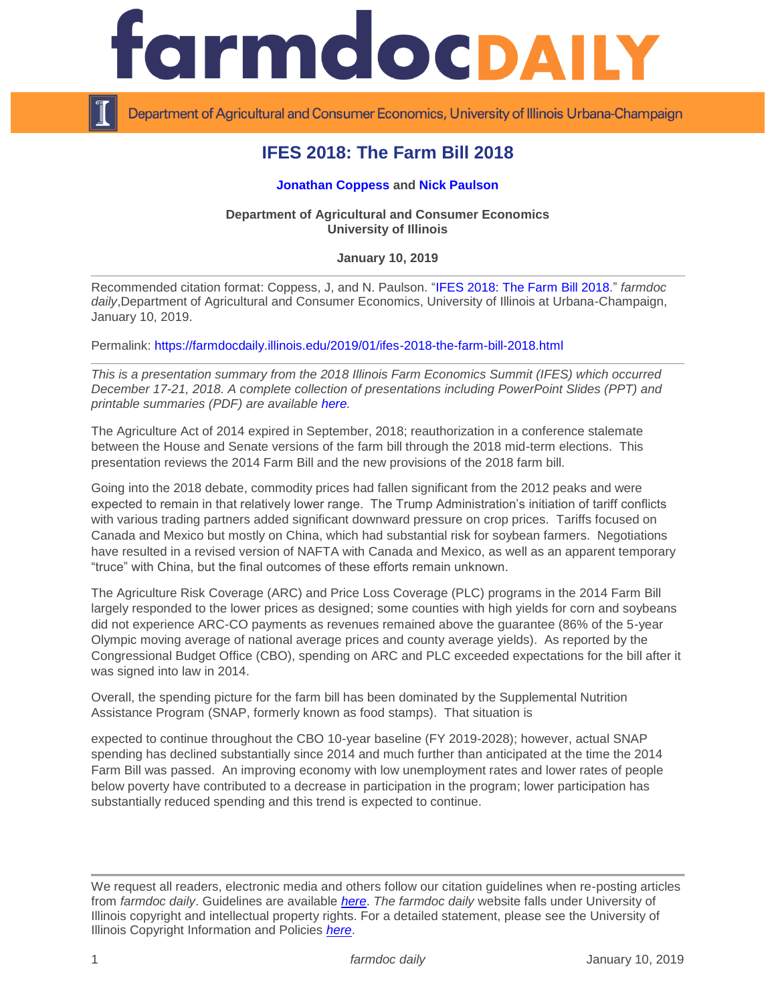

Department of Agricultural and Consumer Economics, University of Illinois Urbana-Champaign

# **IFES 2018: The Farm Bill 2018**

# **[Jonathan Coppess](http://farmdoc.illiinois.edu/coppess) and [Nick Paulson](http://farmdoc.illiinois.edu/paulson)**

# **Department of Agricultural and Consumer Economics University of Illinois**

# **January 10, 2019**

Recommended citation format: Coppess, J, and N. Paulson. ["IFES 2018: The Farm Bill 2018.](https://farmdocdaily.illinois.edu/2019/01/ifes-2018-the-farm-bill-2018.html)" *farmdoc daily*,Department of Agricultural and Consumer Economics, University of Illinois at Urbana-Champaign, January 10, 2019.

Permalink:<https://farmdocdaily.illinois.edu/2019/01/ifes-2018-the-farm-bill-2018.html>

*This is a presentation summary from the 2018 Illinois Farm Economics Summit (IFES) which occurred December 17-21, 2018. A complete collection of presentations including PowerPoint Slides (PPT) and printable summaries (PDF) are available [here.](http://farmdoc.illinois.edu/presentations/IFES_2018)*

The Agriculture Act of 2014 expired in September, 2018; reauthorization in a conference stalemate between the House and Senate versions of the farm bill through the 2018 mid-term elections. This presentation reviews the 2014 Farm Bill and the new provisions of the 2018 farm bill.

Going into the 2018 debate, commodity prices had fallen significant from the 2012 peaks and were expected to remain in that relatively lower range. The Trump Administration's initiation of tariff conflicts with various trading partners added significant downward pressure on crop prices. Tariffs focused on Canada and Mexico but mostly on China, which had substantial risk for soybean farmers. Negotiations have resulted in a revised version of NAFTA with Canada and Mexico, as well as an apparent temporary "truce" with China, but the final outcomes of these efforts remain unknown.

The Agriculture Risk Coverage (ARC) and Price Loss Coverage (PLC) programs in the 2014 Farm Bill largely responded to the lower prices as designed; some counties with high yields for corn and soybeans did not experience ARC-CO payments as revenues remained above the guarantee (86% of the 5-year Olympic moving average of national average prices and county average yields). As reported by the Congressional Budget Office (CBO), spending on ARC and PLC exceeded expectations for the bill after it was signed into law in 2014.

Overall, the spending picture for the farm bill has been dominated by the Supplemental Nutrition Assistance Program (SNAP, formerly known as food stamps). That situation is

expected to continue throughout the CBO 10-year baseline (FY 2019-2028); however, actual SNAP spending has declined substantially since 2014 and much further than anticipated at the time the 2014 Farm Bill was passed. An improving economy with low unemployment rates and lower rates of people below poverty have contributed to a decrease in participation in the program; lower participation has substantially reduced spending and this trend is expected to continue.

We request all readers, electronic media and others follow our citation guidelines when re-posting articles from *farmdoc daily*. Guidelines are available *[here](http://farmdocdaily.illinois.edu/citationguide.html)*. *The farmdoc daily* website falls under University of Illinois copyright and intellectual property rights. For a detailed statement, please see the University of Illinois Copyright Information and Policies *[here](http://www.cio.illinois.edu/policies/copyright/)*.